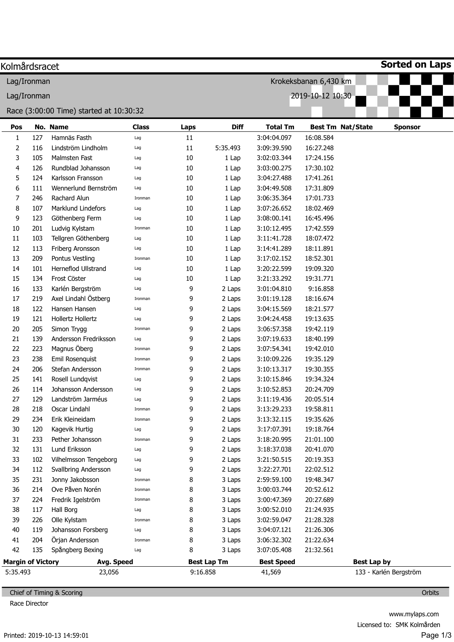| Lag/Ironman<br>Pos<br>$\mathbf{1}$<br>2<br>3<br>4<br>5 | 127<br>116 | Race (3:00:00 Time) started at 10:30:32<br>No. Name |                     |            |                    |                                 | Krokeksbanan 6,430 km                 |                        |  |  |  |  |
|--------------------------------------------------------|------------|-----------------------------------------------------|---------------------|------------|--------------------|---------------------------------|---------------------------------------|------------------------|--|--|--|--|
|                                                        |            |                                                     |                     |            |                    |                                 |                                       |                        |  |  |  |  |
|                                                        |            |                                                     |                     |            |                    | 2019-10-12 10:30<br>Lag/Ironman |                                       |                        |  |  |  |  |
|                                                        |            |                                                     |                     |            |                    |                                 |                                       |                        |  |  |  |  |
|                                                        |            |                                                     |                     |            |                    |                                 |                                       |                        |  |  |  |  |
|                                                        |            | Hamnäs Fasth                                        | <b>Class</b><br>Lag | Laps<br>11 | <b>Diff</b>        | <b>Total Tm</b><br>3:04:04.097  | <b>Best Tm Nat/State</b><br>16:08.584 | <b>Sponsor</b>         |  |  |  |  |
|                                                        |            | Lindström Lindholm                                  | Lag                 | 11         | 5:35.493           | 3:09:39.590                     | 16:27.248                             |                        |  |  |  |  |
|                                                        | 105        | Malmsten Fast                                       | Lag                 | 10         | 1 Lap              | 3:02:03.344                     | 17:24.156                             |                        |  |  |  |  |
|                                                        | 126        | Rundblad Johansson                                  | Lag                 | 10         | 1 Lap              | 3:03:00.275                     | 17:30.102                             |                        |  |  |  |  |
|                                                        | 124        | Karlsson Fransson                                   | Lag                 | 10         | 1 Lap              | 3:04:27.488                     | 17:41.261                             |                        |  |  |  |  |
| 6                                                      | 111        | Wennerlund Bernström                                | Lag                 | 10         | 1 Lap              | 3:04:49.508                     | 17:31.809                             |                        |  |  |  |  |
| 7                                                      | 246        | <b>Rachard Alun</b>                                 | Ironman             | 10         | 1 Lap              | 3:06:35.364                     | 17:01.733                             |                        |  |  |  |  |
| 8                                                      | 107        | Marklund Lindefors                                  | Lag                 | 10         | 1 Lap              | 3:07:26.652                     | 18:02.469                             |                        |  |  |  |  |
| 9                                                      | 123        | Göthenberg Ferm                                     | Lag                 | 10         | 1 Lap              | 3:08:00.141                     | 16:45.496                             |                        |  |  |  |  |
| 10                                                     | 201        | Ludvig Kylstam                                      | Ironman             | 10         | 1 Lap              | 3:10:12.495                     | 17:42.559                             |                        |  |  |  |  |
| 11                                                     | 103        | Tellgren Göthenberg                                 | Lag                 | 10         | 1 Lap              | 3:11:41.728                     | 18:07.472                             |                        |  |  |  |  |
| 12                                                     | 113        | Friberg Aronsson                                    | Lag                 | 10         | 1 Lap              | 3:14:41.289                     | 18:11.891                             |                        |  |  |  |  |
| 13                                                     | 209        | Pontus Vestling                                     | Ironman             | 10         | 1 Lap              | 3:17:02.152                     | 18:52.301                             |                        |  |  |  |  |
| 14                                                     | 101        | Herneflod Ullstrand                                 | Lag                 | 10         | 1 Lap              | 3:20:22.599                     | 19:09.320                             |                        |  |  |  |  |
| 15                                                     | 134        | Frost Cöster                                        | Lag                 | 10         | 1 Lap              | 3:21:33.292                     | 19:31.771                             |                        |  |  |  |  |
| 16                                                     | 133        | Karlén Bergström                                    | Lag                 | 9          | 2 Laps             | 3:01:04.810                     | 9:16.858                              |                        |  |  |  |  |
| 17                                                     | 219        | Axel Lindahl Östberg                                | Ironman             | 9          | 2 Laps             | 3:01:19.128                     | 18:16.674                             |                        |  |  |  |  |
| 18                                                     | 122        | Hansen Hansen                                       | Lag                 | 9          | 2 Laps             | 3:04:15.569                     | 18:21.577                             |                        |  |  |  |  |
| 19                                                     | 121        | Hollertz Hollertz                                   | Lag                 | 9          | 2 Laps             | 3:04:24.458                     | 19:13.635                             |                        |  |  |  |  |
| 20                                                     | 205        | Simon Trygg                                         | Ironman             | 9          | 2 Laps             | 3:06:57.358                     | 19:42.119                             |                        |  |  |  |  |
| 21                                                     | 139        | Andersson Fredriksson                               | Lag                 | 9          | 2 Laps             | 3:07:19.633                     | 18:40.199                             |                        |  |  |  |  |
| 22                                                     | 223        | Magnus Öberg                                        | Ironman             | 9          | 2 Laps             | 3:07:54.341                     | 19:42.010                             |                        |  |  |  |  |
| 23                                                     | 238        | Emil Rosenquist                                     | Ironman             | 9          | 2 Laps             | 3:10:09.226                     | 19:35.129                             |                        |  |  |  |  |
| 24                                                     | 206        | Stefan Andersson                                    | Ironman             | 9          | 2 Laps             | 3:10:13.317                     | 19:30.355                             |                        |  |  |  |  |
| 25                                                     | 141        | Rosell Lundqvist                                    | Lag                 | 9          | 2 Laps             | 3:10:15.846                     | 19:34.324                             |                        |  |  |  |  |
| 26                                                     | 114        | Johansson Andersson                                 | Lag                 | 9          | 2 Laps             | 3:10:52.853                     | 20:24.709                             |                        |  |  |  |  |
| 27                                                     | 129        | Landström Jarméus                                   | Lag                 | 9          | 2 Laps             | 3:11:19.436                     | 20:05.514                             |                        |  |  |  |  |
| 28                                                     | 218        | Oscar Lindahl                                       | Ironman             | 9          | 2 Laps             | 3:13:29.233                     | 19:58.811                             |                        |  |  |  |  |
| 29                                                     | 234        | Erik Kleineidam                                     | Ironman             | 9          | 2 Laps             | 3:13:32.115                     | 19:35.626                             |                        |  |  |  |  |
| 30                                                     | 120        | Kagevik Hurtig                                      | Lag                 | 9          | 2 Laps             | 3:17:07.391                     | 19:18.764                             |                        |  |  |  |  |
| 31                                                     | 233        | Pether Johansson                                    | Ironman             | 9          | 2 Laps             | 3:18:20.995                     | 21:01.100                             |                        |  |  |  |  |
| 32                                                     | 131        | Lund Eriksson                                       | Lag                 | 9          | 2 Laps             | 3:18:37.038                     | 20:41.070                             |                        |  |  |  |  |
| 33                                                     | 102        | Vilhelmsson Tengeborg                               | Lag                 | 9          | 2 Laps             | 3:21:50.515                     | 20:19.353                             |                        |  |  |  |  |
| 34                                                     | 112        | Svallbring Andersson                                | Lag                 | 9          | 2 Laps             | 3:22:27.701                     | 22:02.512                             |                        |  |  |  |  |
| 35                                                     | 231        | Jonny Jakobsson                                     | Ironman             | 8          | 3 Laps             | 2:59:59.100                     | 19:48.347                             |                        |  |  |  |  |
| 36                                                     | 214        | Ove Påven Norén                                     | Ironman             | 8          | 3 Laps             | 3:00:03.744                     | 20:52.612                             |                        |  |  |  |  |
| 37                                                     | 224        | Fredrik Igelström                                   | Ironman             | 8          | 3 Laps             | 3:00:47.369                     | 20:27.689                             |                        |  |  |  |  |
| 38                                                     | 117        | Hall Borg                                           | Lag                 | 8          | 3 Laps             | 3:00:52.010                     | 21:24.935                             |                        |  |  |  |  |
| 39                                                     | 226        | Olle Kylstam                                        | Ironman             | 8          | 3 Laps             | 3:02:59.047                     | 21:28.328                             |                        |  |  |  |  |
| 40                                                     | 119        | Johansson Forsberg                                  | Lag                 | 8          | 3 Laps             | 3:04:07.121                     | 21:26.306                             |                        |  |  |  |  |
| 41                                                     | 204        | Örjan Andersson                                     | Ironman             | 8          | 3 Laps             | 3:06:32.302                     | 21:22.634                             |                        |  |  |  |  |
| 42                                                     | 135        | Spångberg Bexing                                    | Lag                 | 8          | 3 Laps             | 3:07:05.408                     | 21:32.561                             |                        |  |  |  |  |
| <b>Margin of Victory</b>                               |            | Avg. Speed                                          |                     |            | <b>Best Lap Tm</b> | <b>Best Speed</b>               | Best Lap by                           |                        |  |  |  |  |
| 5:35.493                                               |            | 23,056                                              |                     | 9:16.858   |                    | 41,569                          |                                       | 133 - Karlén Bergström |  |  |  |  |

Chief of Timing & Scoring

Race Director

**Orbits**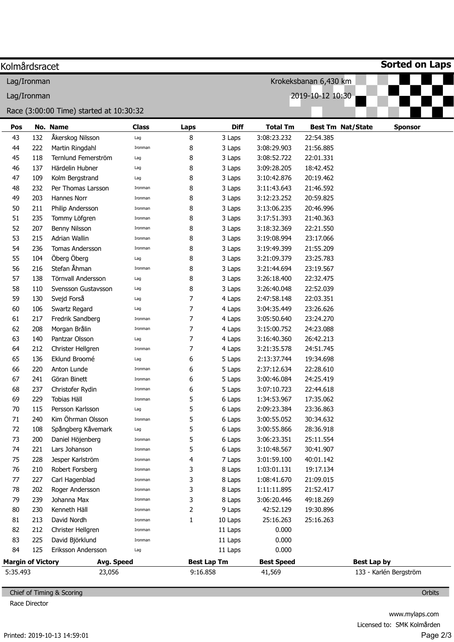| Kolmårdsracet                   |     |                                         |              |                  |                    |                   |                          | <b>Sorted on Laps</b>  |
|---------------------------------|-----|-----------------------------------------|--------------|------------------|--------------------|-------------------|--------------------------|------------------------|
| Lag/Ironman                     |     |                                         |              |                  |                    |                   | Krokeksbanan 6,430 km    |                        |
| 2019-10-12 10:30<br>Lag/Ironman |     |                                         |              |                  |                    |                   |                          |                        |
|                                 |     | Race (3:00:00 Time) started at 10:30:32 |              |                  |                    |                   |                          |                        |
| Pos                             |     | No. Name                                | <b>Class</b> | Laps             | <b>Diff</b>        | <b>Total Tm</b>   | <b>Best Tm Nat/State</b> | <b>Sponsor</b>         |
| 43                              | 132 | Åkerskog Nilsson                        | Lag          | 8                | 3 Laps             | 3:08:23.232       | 22:54.385                |                        |
| 44                              | 222 | Martin Ringdahl                         | Ironman      | 8                | 3 Laps             | 3:08:29.903       | 21:56.885                |                        |
| 45                              | 118 | Ternlund Femerström                     | Lag          | 8                | 3 Laps             | 3:08:52.722       | 22:01.331                |                        |
| 46                              | 137 | Härdelin Hubner                         | Lag          | 8                | 3 Laps             | 3:09:28.205       | 18:42.452                |                        |
| 47                              | 109 | Kolm Bergstrand                         | Lag          | 8                | 3 Laps             | 3:10:42.876       | 20:19.462                |                        |
| 48                              | 232 | Per Thomas Larsson                      | Ironman      | 8                | 3 Laps             | 3:11:43.643       | 21:46.592                |                        |
| 49                              | 203 | Hannes Norr                             | Ironman      | 8                | 3 Laps             | 3:12:23.252       | 20:59.825                |                        |
| 50                              | 211 | Philip Andersson                        | Ironman      | 8                | 3 Laps             | 3:13:06.235       | 20:46.996                |                        |
| 51                              | 235 | Tommy Löfgren                           | Ironman      | 8                | 3 Laps             | 3:17:51.393       | 21:40.363                |                        |
| 52                              | 207 | Benny Nilsson                           | Ironman      | 8                | 3 Laps             | 3:18:32.369       | 22:21.550                |                        |
| 53                              | 215 | Adrian Wallin                           | Ironman      | 8                | 3 Laps             | 3:19:08.994       | 23:17.066                |                        |
| 54                              | 236 | Tomas Andersson                         | Ironman      | 8                | 3 Laps             | 3:19:49.399       | 21:55.209                |                        |
| 55                              | 104 | Öberg Öberg                             | Lag          | 8                | 3 Laps             | 3:21:09.379       | 23:25.783                |                        |
| 56                              | 216 | Stefan Åhman                            | Ironman      | 8                | 3 Laps             | 3:21:44.694       | 23:19.567                |                        |
| 57                              | 138 | Törnvall Andersson                      | Lag          | 8                | 3 Laps             | 3:26:18.400       | 22:32.475                |                        |
| 58                              | 110 | Svensson Gustavsson                     | Lag          | 8                | 3 Laps             | 3:26:40.048       | 22:52.039                |                        |
| 59                              | 130 | Svejd Forså                             | Lag          | 7                | 4 Laps             | 2:47:58.148       | 22:03.351                |                        |
| 60                              | 106 | Swartz Regard                           | Lag          | 7                | 4 Laps             | 3:04:35.449       | 23:26.626                |                        |
| 61                              | 217 | Fredrik Sandberg                        | Ironman      | 7                | 4 Laps             | 3:05:50.640       | 23:24.270                |                        |
| 62                              | 208 | Morgan Brålin                           | Ironman      | $\boldsymbol{7}$ | 4 Laps             | 3:15:00.752       | 24:23.088                |                        |
| 63                              | 140 | Pantzar Olsson                          | Lag          | 7                | 4 Laps             | 3:16:40.360       | 26:42.213                |                        |
| 64                              | 212 | Christer Hellgren                       | Ironman      | 7                | 4 Laps             | 3:21:35.578       | 24:51.745                |                        |
| 65                              | 136 | Eklund Broomé                           | Lag          | 6                | 5 Laps             | 2:13:37.744       | 19:34.698                |                        |
| 66                              | 220 | Anton Lunde                             | Ironman      | 6                | 5 Laps             | 2:37:12.634       | 22:28.610                |                        |
| 67                              | 241 | Göran Binett                            | Ironman      | 6                | 5 Laps             | 3:00:46.084       | 24:25.419                |                        |
| 68                              | 237 | Christofer Rydin                        | Ironman      | 6                | 5 Laps             | 3:07:10.723       | 22:44.618                |                        |
| 69                              | 229 | Tobias Häll                             | Ironman      | 5                | 6 Laps             | 1:34:53.967       | 17:35.062                |                        |
| 70                              | 115 | Persson Karlsson                        | Lag          | 5                | 6 Laps             | 2:09:23.384       | 23:36.863                |                        |
| 71                              | 240 | Kim Öhrman Olsson                       | Ironman      | 5                | 6 Laps             | 3:00:55.052       | 30:34.632                |                        |
| 72                              | 108 | Spångberg Kåvemark                      | Lag          | 5                | 6 Laps             | 3:00:55.866       | 28:36.918                |                        |
| 73                              | 200 | Daniel Höjenberg                        | Ironman      | 5                | 6 Laps             | 3:06:23.351       | 25:11.554                |                        |
| 74                              | 221 | Lars Johanson                           | Ironman      | 5                | 6 Laps             | 3:10:48.567       | 30:41.907                |                        |
| 75                              | 228 | Jesper Karlström                        | Ironman      | 4                | 7 Laps             | 3:01:59.100       | 40:01.142                |                        |
| 76                              | 210 | Robert Forsberg                         | Ironman      | 3                | 8 Laps             | 1:03:01.131       | 19:17.134                |                        |
| 77                              | 227 | Carl Hagenblad                          | Ironman      | 3                | 8 Laps             | 1:08:41.670       | 21:09.015                |                        |
| 78                              | 202 | Roger Andersson                         | Ironman      | 3                | 8 Laps             | 1:11:11.895       | 21:52.417                |                        |
| 79                              | 239 | Johanna Max                             | Ironman      | 3                | 8 Laps             | 3:06:20.446       | 49:18.269                |                        |
| 80                              | 230 | Kenneth Häll                            | Ironman      | 2                | 9 Laps             | 42:52.129         | 19:30.896                |                        |
| 81                              | 213 | David Nordh                             | Ironman      | $\mathbf{1}$     | 10 Laps            | 25:16.263         | 25:16.263                |                        |
| 82                              | 212 | Christer Hellgren                       | Ironman      |                  | 11 Laps            | 0.000             |                          |                        |
| 83                              | 225 | David Björklund                         | Ironman      |                  | 11 Laps            | 0.000             |                          |                        |
| 84                              | 125 | Eriksson Andersson                      | Lag          |                  | 11 Laps            | 0.000             |                          |                        |
| <b>Margin of Victory</b>        |     | Avg. Speed                              |              |                  | <b>Best Lap Tm</b> | <b>Best Speed</b> | <b>Best Lap by</b>       |                        |
| 5:35.493                        |     | 23,056                                  |              | 9:16.858         |                    | 41,569            |                          | 133 - Karlén Bergström |
|                                 |     |                                         |              |                  |                    |                   |                          |                        |

Chief of Timing & Scoring

Race Director

**Orbits**